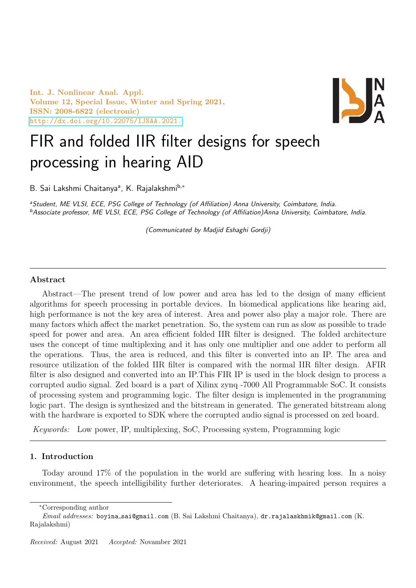Int. J. Nonlinear Anal. Appl. Volume 12, Special Issue, Winter and Spring 2021, ISSN: 2008-6822 (electronic) <http://dx.doi.org/10.22075/IJNAA.2021.>



# FIR and folded IIR filter designs for speech processing in hearing AID

B. Sai Lakshmi Chaitanyaª, K. Rajalakshmi<sup>b,∗</sup>

<sup>a</sup>Student, ME VLSI, ECE, PSG College of Technology (of Affiliation) Anna University, Coimbatore, India. <sup>b</sup>Associate professor, ME VLSI, ECE, PSG College of Technology (of Affiliation)Anna University, Coimbatore, India.

(Communicated by Madjid Eshaghi Gordji)

# Abstract

Abstract—The present trend of low power and area has led to the design of many efficient algorithms for speech processing in portable devices. In biomedical applications like hearing aid, high performance is not the key area of interest. Area and power also play a major role. There are many factors which affect the market penetration. So, the system can run as slow as possible to trade speed for power and area. An area efficient folded IIR filter is designed. The folded architecture uses the concept of time multiplexing and it has only one multiplier and one adder to perform all the operations. Thus, the area is reduced, and this filter is converted into an IP. The area and resource utilization of the folded IIR filter is compared with the normal IIR filter design. AFIR filter is also designed and converted into an IP.This FIR IP is used in the block design to process a corrupted audio signal. Zed board is a part of Xilinx zynq -7000 All Programmable SoC. It consists of processing system and programming logic. The filter design is implemented in the programming logic part. The design is synthesized and the bitstream in generated. The generated bitstream along with the hardware is exported to SDK where the corrupted audio signal is processed on zed board.

Keywords: Low power, IP, multiplexing, SoC, Processing system, Programming logic

# 1. Introduction

Today around 17% of the population in the world are suffering with hearing loss. In a noisy environment, the speech intelligibility further deteriorates. A hearing-impaired person requires a

<sup>∗</sup>Corresponding author

Email addresses: boyina sai@gmail.com (B. Sai Lakshmi Chaitanya), dr.rajalaskhmik@gmail.com (K. Rajalakshmi)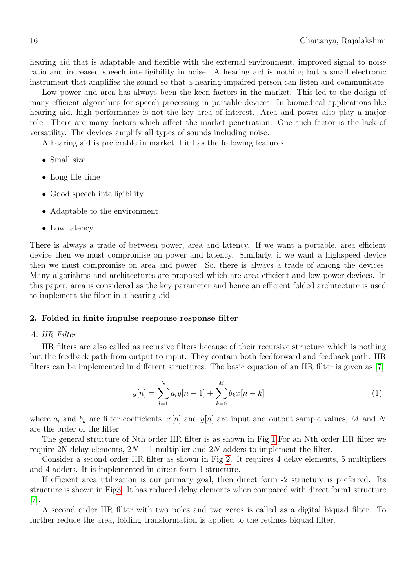hearing aid that is adaptable and flexible with the external environment, improved signal to noise ratio and increased speech intelligibility in noise. A hearing aid is nothing but a small electronic instrument that amplifies the sound so that a hearing-impaired person can listen and communicate.

Low power and area has always been the keen factors in the market. This led to the design of many efficient algorithms for speech processing in portable devices. In biomedical applications like hearing aid, high performance is not the key area of interest. Area and power also play a major role. There are many factors which affect the market penetration. One such factor is the lack of versatility. The devices amplify all types of sounds including noise.

A hearing aid is preferable in market if it has the following features

- Small size
- Long life time
- Good speech intelligibility
- Adaptable to the environment
- Low latency

There is always a trade of between power, area and latency. If we want a portable, area efficient device then we must compromise on power and latency. Similarly, if we want a highspeed device then we must compromise on area and power. So, there is always a trade of among the devices. Many algorithms and architectures are proposed which are area efficient and low power devices. In this paper, area is considered as the key parameter and hence an efficient folded architecture is used to implement the filter in a hearing aid.

#### 2. Folded in finite impulse response response filter

## A. IIR Filter

IIR filters are also called as recursive filters because of their recursive structure which is nothing but the feedback path from output to input. They contain both feedforward and feedback path. IIR filters can be implemented in different structures. The basic equation of an IIR filter is given as [\[7\]](#page-7-0).

$$
y[n] = \sum_{l=1}^{N} a_l y[n-1] + \sum_{k=0}^{M} b_k x[n-k]
$$
 (1)

where  $a_l$  and  $b_k$  are filter coefficients,  $x[n]$  and  $y[n]$  are input and output sample values, M and N are the order of the filter.

The general structure of Nth order IIR filter is as shown in Fig [1.](#page-2-0)For an Nth order IIR filter we require 2N delay elements,  $2N + 1$  multiplier and  $2N$  adders to implement the filter.

Consider a second order IIR filter as shown in Fig [2.](#page-2-1) It requires 4 delay elements, 5 multipliers and 4 adders. It is implemented in direct form-1 structure.

If efficient area utilization is our primary goal, then direct form -2 structure is preferred. Its structure is shown in Fi[g3.](#page-2-2) It has reduced delay elements when compared with direct form1 structure [\[7\]](#page-7-0).

A second order IIR filter with two poles and two zeros is called as a digital biquad filter. To further reduce the area, folding transformation is applied to the retimes biquad filter.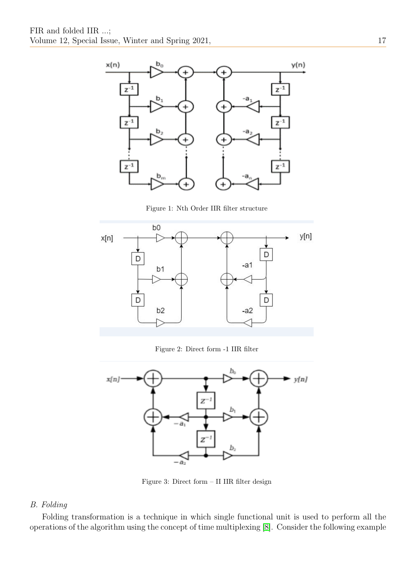

<span id="page-2-0"></span>Figure 1: Nth Order IIR filter structure



<span id="page-2-1"></span>Figure 2: Direct form -1 IIR filter



<span id="page-2-2"></span>Figure 3: Direct form – II IIR filter design

# B. Folding

Folding transformation is a technique in which single functional unit is used to perform all the operations of the algorithm using the concept of time multiplexing [\[8\]](#page-7-1). Consider the following example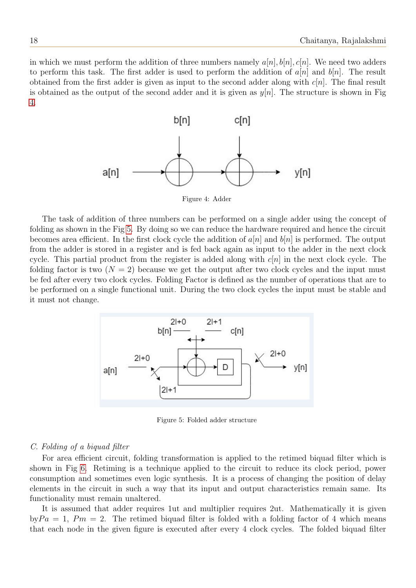in which we must perform the addition of three numbers namely  $a[n], b[n], c[n]$ . We need two adders to perform this task. The first adder is used to perform the addition of  $a[n]$  and  $b[n]$ . The result obtained from the first adder is given as input to the second adder along with  $c[n]$ . The final result is obtained as the output of the second adder and it is given as  $y[n]$ . The structure is shown in Fig [4.](#page-3-0)



<span id="page-3-0"></span>Figure 4: Adder

The task of addition of three numbers can be performed on a single adder using the concept of folding as shown in the Fig [5.](#page-3-1) By doing so we can reduce the hardware required and hence the circuit becomes area efficient. In the first clock cycle the addition of  $a[n]$  and  $b[n]$  is performed. The output from the adder is stored in a register and is fed back again as input to the adder in the next clock cycle. This partial product from the register is added along with  $c[n]$  in the next clock cycle. The folding factor is two  $(N = 2)$  because we get the output after two clock cycles and the input must be fed after every two clock cycles. Folding Factor is defined as the number of operations that are to be performed on a single functional unit. During the two clock cycles the input must be stable and it must not change.



<span id="page-3-1"></span>Figure 5: Folded adder structure

# C. Folding of a biquad filter

For area efficient circuit, folding transformation is applied to the retimed biquad filter which is shown in Fig [6.](#page-4-0) Retiming is a technique applied to the circuit to reduce its clock period, power consumption and sometimes even logic synthesis. It is a process of changing the position of delay elements in the circuit in such a way that its input and output characteristics remain same. Its functionality must remain unaltered.

It is assumed that adder requires 1ut and multiplier requires 2ut. Mathematically it is given  $byPa = 1, Pm = 2$ . The retimed biquad filter is folded with a folding factor of 4 which means that each node in the given figure is executed after every 4 clock cycles. The folded biquad filter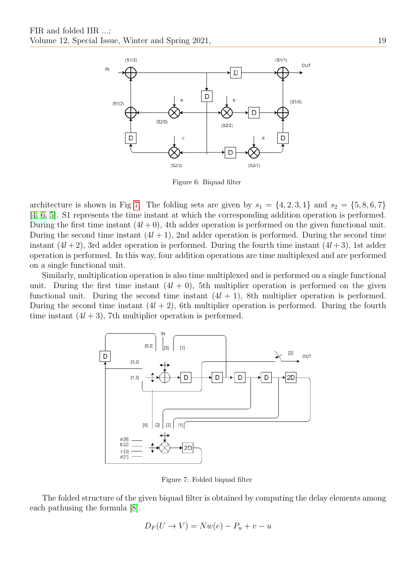

<span id="page-4-0"></span>Figure 6: Biquad filter

architecture is shown in Fig [7.](#page-4-1) The folding sets are given by  $s_1 = \{4, 2, 3, 1\}$  and  $s_2 = \{5, 8, 6, 7\}$ [\[4,](#page-7-2) [6,](#page-7-3) [5\]](#page-7-4). S1 represents the time instant at which the corresponding addition operation is performed. During the first time instant  $(4l + 0)$ , 4th adder operation is performed on the given functional unit. During the second time instant  $(4l + 1)$ , 2nd adder operation is performed. During the second time instant  $(4l + 2)$ , 3rd adder operation is performed. During the fourth time instant  $(4l + 3)$ , 1st adder operation is performed. In this way, four addition operations are time multiplexed and are performed on a single functional unit.

Similarly, multiplication operation is also time multiplexed and is performed on a single functional unit. During the first time instant  $(4l + 0)$ , 5th multiplier operation is performed on the given functional unit. During the second time instant  $(4l + 1)$ , 8th multiplier operation is performed. During the second time instant  $(4l + 2)$ , 6th multiplier operation is performed. During the fourth time instant  $(4l + 3)$ , 7th multiplier operation is performed.



<span id="page-4-1"></span>Figure 7: Folded biquad filter

The folded structure of the given biquad filter is obtained by computing the delay elements among each pathusing the formula [\[8\]](#page-7-1).

$$
D_F(U \to V) = Nw(e) - P_u + v - u
$$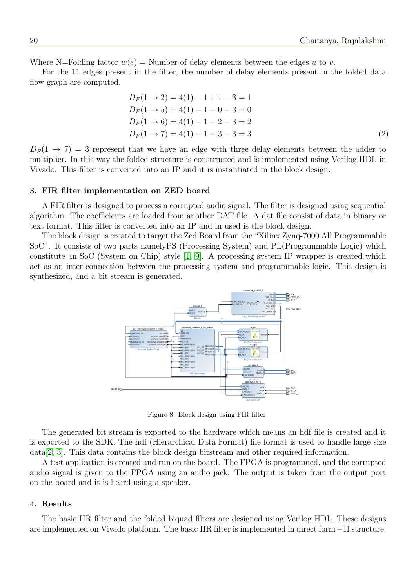Where N=Folding factor  $w(e)$  = Number of delay elements between the edges u to v.

For the 11 edges present in the filter, the number of delay elements present in the folded data flow graph are computed.

$$
D_F(1 \to 2) = 4(1) - 1 + 1 - 3 = 1
$$
  
\n
$$
D_F(1 \to 5) = 4(1) - 1 + 0 - 3 = 0
$$
  
\n
$$
D_F(1 \to 6) = 4(1) - 1 + 2 - 3 = 2
$$
  
\n
$$
D_F(1 \to 7) = 4(1) - 1 + 3 - 3 = 3
$$
 (2)

 $D_F(1 \rightarrow 7) = 3$  represent that we have an edge with three delay elements between the adder to multiplier. In this way the folded structure is constructed and is implemented using Verilog HDL in Vivado. This filter is converted into an IP and it is instantiated in the block design.

### 3. FIR filter implementation on ZED board

A FIR filter is designed to process a corrupted audio signal. The filter is designed using sequential algorithm. The coefficients are loaded from another DAT file. A dat file consist of data in binary or text format. This filter is converted into an IP and in used is the block design.

The block design is created to target the Zed Board from the "Xilinx Zynq-7000 All Programmable SoC". It consists of two parts namelyPS (Processing System) and PL(Programmable Logic) which constitute an SoC (System on Chip) style [\[1,](#page-7-5) [9\]](#page-7-6). A processing system IP wrapper is created which act as an inter-connection between the processing system and programmable logic. This design is synthesized, and a bit stream is generated.



Figure 8: Block design using FIR filter

The generated bit stream is exported to the hardware which means an hdf file is created and it is exported to the SDK. The hdf (Hierarchical Data Format) file format is used to handle large size data[\[2,](#page-7-7) [3\]](#page-7-8). This data contains the block design bitstream and other required information.

A test application is created and run on the board. The FPGA is programmed, and the corrupted audio signal is given to the FPGA using an audio jack. The output is taken from the output port on the board and it is heard using a speaker.

#### 4. Results

The basic IIR filter and the folded biquad filters are designed using Verilog HDL. These designs are implemented on Vivado platform. The basic IIR filter is implemented in direct form – II structure.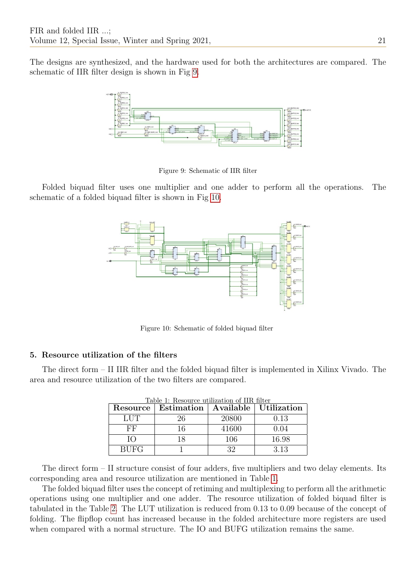The designs are synthesized, and the hardware used for both the architectures are compared. The schematic of IIR filter design is shown in Fig [9.](#page-6-0)



<span id="page-6-0"></span>Figure 9: Schematic of IIR filter

Folded biquad filter uses one multiplier and one adder to perform all the operations. The schematic of a folded biquad filter is shown in Fig [10.](#page-6-1)



<span id="page-6-1"></span>Figure 10: Schematic of folded biquad filter

# 5. Resource utilization of the filters

<span id="page-6-2"></span>The direct form – II IIR filter and the folded biquad filter is implemented in Xilinx Vivado. The area and resource utilization of the two filters are compared.

| Table 1: Resource utilization of IIR filter |                                                 |       |       |  |
|---------------------------------------------|-------------------------------------------------|-------|-------|--|
|                                             | Resource   Estimation   Available   Utilization |       |       |  |
| LUT                                         | 26                                              | 20800 | 0.13  |  |
| FF                                          | 16                                              | 41600 | 0.04  |  |
| ĪО                                          | 18                                              | 106   | 16.98 |  |
| <b>BUFG</b>                                 |                                                 | 39    | 3.13  |  |

The direct form – II structure consist of four adders, five multipliers and two delay elements. Its corresponding area and resource utilization are mentioned in Table [1.](#page-6-2)

The folded biquad filter uses the concept of retiming and multiplexing to perform all the arithmetic operations using one multiplier and one adder. The resource utilization of folded biquad filter is tabulated in the Table [2.](#page-7-9) The LUT utilization is reduced from 0.13 to 0.09 because of the concept of folding. The flipflop count has increased because in the folded architecture more registers are used when compared with a normal structure. The IO and BUFG utilization remains the same.